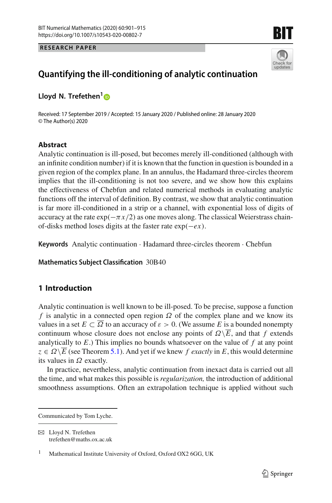**RESEARCH PAPER**





# **Quantifying the ill-conditioning of analytic continuation**

**Lloyd N. Trefethen[1](http://orcid.org/0000-0003-2504-1709)**

Received: 17 September 2019 / Accepted: 15 January 2020 / Published online: 28 January 2020 © The Author(s) 2020

#### **Abstract**

Analytic continuation is ill-posed, but becomes merely ill-conditioned (although with an infinite condition number) if it is known that the function in question is bounded in a given region of the complex plane. In an annulus, the Hadamard three-circles theorem implies that the ill-conditioning is not too severe, and we show how this explains the effectiveness of Chebfun and related numerical methods in evaluating analytic functions off the interval of definition. By contrast, we show that analytic continuation is far more ill-conditioned in a strip or a channel, with exponential loss of digits of accuracy at the rate  $\exp(-\pi x/2)$  as one moves along. The classical Weierstrass chainof-disks method loses digits at the faster rate exp(−*ex*).

**Keywords** Analytic continuation · Hadamard three-circles theorem · Chebfun

**Mathematics Subject Classification** 30B40

## **1 Introduction**

Analytic continuation is well known to be ill-posed. To be precise, suppose a function *f* is analytic in a connected open region  $\Omega$  of the complex plane and we know its values in a set  $E \subset \overline{\Omega}$  to an accuracy of  $\varepsilon > 0$ . (We assume *E* is a bounded nonempty continuum whose closure does not enclose any points of  $\Omega\setminus\overline{E}$ , and that *f* extends analytically to  $E$ .) This implies no bounds whatsoever on the value of  $f$  at any point  $z \in \Omega \backslash \overline{E}$  (see Theorem [5.1\)](#page-7-0). And yet if we knew *f exactly* in *E*, this would determine its values in  $\Omega$  exactly.

In practice, nevertheless, analytic continuation from inexact data is carried out all the time, and what makes this possible is *regularization,* the introduction of additional smoothness assumptions. Often an extrapolation technique is applied without such

Communicated by Tom Lyche.

 $\boxtimes$  Lloyd N. Trefethen trefethen@maths.ox.ac.uk

<sup>&</sup>lt;sup>1</sup> Mathematical Institute University of Oxford, Oxford OX2 6GG, UK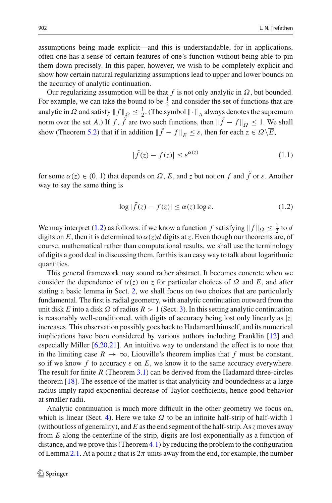assumptions being made explicit—and this is understandable, for in applications, often one has a sense of certain features of one's function without being able to pin them down precisely. In this paper, however, we wish to be completely explicit and show how certain natural regularizing assumptions lead to upper and lower bounds on the accuracy of analytic continuation.

Our regularizing assumption will be that  $f$  is not only analytic in  $\Omega$ , but bounded. For example, we can take the bound to be  $\frac{1}{2}$  and consider the set of functions that are analytic in  $\Omega$  and satisfy  $||f||_{\Omega} \leq \frac{1}{2}$ . (The symbol  $||\cdot||_A$  always denotes the supremum norm over the set *A*.) If *f*,  $\tilde{f}$  are two such functions, then  $\|\tilde{f} - f\|_0 \leq 1$ . We shall show (Theorem [5.2\)](#page-7-1) that if in addition  $\|\tilde{f} - f\|_E \leq \varepsilon$ , then for each  $z \in \Omega \setminus \overline{E}$ ,

<span id="page-1-1"></span>
$$
|\tilde{f}(z) - f(z)| \le \varepsilon^{\alpha(z)} \tag{1.1}
$$

for some  $\alpha(z) \in (0, 1)$  that depends on  $\Omega$ , E, and z but not on f and f or  $\varepsilon$ . Another way to say the same thing is

<span id="page-1-0"></span>
$$
\log|f(z) - f(z)| \le \alpha(z) \log \varepsilon. \tag{1.2}
$$

We may interpret [\(1.2\)](#page-1-0) as follows: if we know a function *f* satisfying  $|| f ||_{\Omega} \leq \frac{1}{2}$  to *d* digits on E, then it is determined to  $\alpha(z)$  digits at z. Even though our theorems are, of course, mathematical rather than computational results, we shall use the terminology of digits a good deal in discussing them, for this is an easy way to talk about logarithmic quantities.

This general framework may sound rather abstract. It becomes concrete when we consider the dependence of  $\alpha(z)$  on z for particular choices of  $\Omega$  and E, and after stating a basic lemma in Sect. [2,](#page-3-0) we shall focus on two choices that are particularly fundamental. The first is radial geometry, with analytic continuation outward from the unit disk *E* into a disk  $\Omega$  of radius  $R > 1$  (Sect. [3\)](#page-3-1). In this setting analytic continuation is reasonably well-conditioned, with digits of accuracy being lost only linearly as |*z*| increases. This observation possibly goes back to Hadamard himself, and its numerical implications have been considered by various authors including Franklin [\[12\]](#page-13-0) and especially Miller [\[6](#page-13-1)[,20](#page-14-0)[,21\]](#page-14-1). An intuitive way to understand the effect is to note that in the limiting case  $R \to \infty$ , Liouville's theorem implies that f must be constant, so if we know f to accuracy  $\varepsilon$  on E, we know it to the same accuracy everywhere. The result for finite *R* (Theorem [3.1\)](#page-3-2) can be derived from the Hadamard three-circles theorem [\[18](#page-13-2)]. The essence of the matter is that analyticity and boundedness at a large radius imply rapid exponential decrease of Taylor coefficients, hence good behavior at smaller radii.

Analytic continuation is much more difficult in the other geometry we focus on, which is linear (Sect. [4\)](#page-5-0). Here we take  $\Omega$  to be an infinite half-strip of half-width 1 (without loss of generality), and *E* as the end segment of the half-strip. As*z* moves away from *E* along the centerline of the strip, digits are lost exponentially as a function of distance, and we prove this (Theorem [4.1\)](#page-6-0) by reducing the problem to the configuration of Lemma [2.1.](#page-3-3) At a point *z* that is  $2\pi$  units away from the end, for example, the number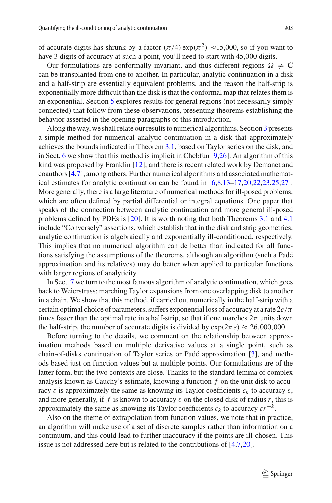of accurate digits has shrunk by a factor  $(\pi/4) \exp(\pi^2) \approx 15,000$ , so if you want to have 3 digits of accuracy at such a point, you'll need to start with 45,000 digits.

Our formulations are conformally invariant, and thus different regions  $\Omega \neq C$ can be transplanted from one to another. In particular, analytic continuation in a disk and a half-strip are essentially equivalent problems, and the reason the half-strip is exponentially more difficult than the disk is that the conformal map that relates them is an exponential. Section [5](#page-7-2) explores results for general regions (not necessarily simply connected) that follow from these observations, presenting theorems establishing the behavior asserted in the opening paragraphs of this introduction.

Along the way, we shall relate our results to numerical algorithms. Section [3](#page-3-1) presents a simple method for numerical analytic continuation in a disk that approximately achieves the bounds indicated in Theorem [3.1,](#page-3-2) based on Taylor series on the disk, and in Sect. [6](#page-8-0) we show that this method is implicit in Chebfun [\[9](#page-13-3)[,26](#page-14-2)]. An algorithm of this kind was proposed by Franklin [\[12\]](#page-13-0), and there is recent related work by Demanet and coauthors [\[4](#page-13-4)[,7\]](#page-13-5), among others. Further numerical algorithms and associated mathematical estimates for analytic continuation can be found in [\[6](#page-13-1)[,8](#page-13-6)[,13](#page-13-7)[–17](#page-13-8)[,20](#page-14-0)[,22](#page-14-3)[,23](#page-14-4)[,25](#page-14-5)[,27](#page-14-6)]. More generally, there is a large literature of numerical methods for ill-posed problems, which are often defined by partial differential or integral equations. One paper that speaks of the connection between analytic continuation and more general ill-posed problems defined by PDEs is [\[20\]](#page-14-0). It is worth noting that both Theorems [3.1](#page-3-2) and [4.1](#page-6-0) include "Conversely" assertions, which establish that in the disk and strip geometries, analytic continuation is algebraically and exponentially ill-conditioned, respectively. This implies that no numerical algorithm can de better than indicated for all functions satisfying the assumptions of the theorems, although an algorithm (such a Padé approximation and its relatives) may do better when applied to particular functions with larger regions of analyticity.

In Sect. [7](#page-9-0) we turn to the most famous algorithm of analytic continuation, which goes back to Weierstrass: marching Taylor expansions from one overlapping disk to another in a chain. We show that this method, if carried out numerically in the half-strip with a certain optimal choice of parameters, suffers exponential loss of accuracy at a rate 2*e*/π times faster than the optimal rate in a half-strip, so that if one marches  $2\pi$  units down the half-strip, the number of accurate digits is divided by  $\exp(2\pi e) \approx 26,000,000$ .

Before turning to the details, we comment on the relationship between approximation methods based on multiple derivative values at a single point, such as chain-of-disks continuation of Taylor series or Padé approximation [\[3](#page-13-9)], and methods based just on function values but at multiple points. Our formulations are of the latter form, but the two contexts are close. Thanks to the standard lemma of complex analysis known as Cauchy's estimate, knowing a function *f* on the unit disk to accuracy  $\varepsilon$  is approximately the same as knowing its Taylor coefficients  $c_k$  to accuracy  $\varepsilon$ , and more generally, if f is known to accuracy  $\varepsilon$  on the closed disk of radius r, this is approximately the same as knowing its Taylor coefficients  $c_k$  to accuracy  $\varepsilon r^{-k}$ .

Also on the theme of extrapolation from function values, we note that in practice, an algorithm will make use of a set of discrete samples rather than information on a continuum, and this could lead to further inaccuracy if the points are ill-chosen. This issue is not addressed here but is related to the contributions of [\[4](#page-13-4)[,7](#page-13-5)[,20](#page-14-0)].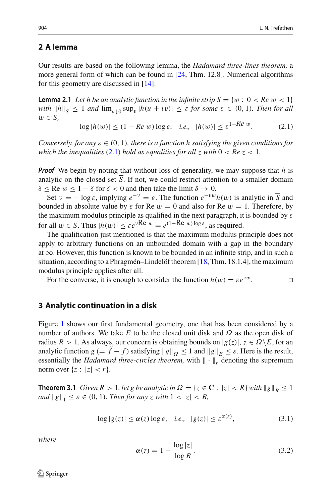#### <span id="page-3-0"></span>**2 A lemma**

Our results are based on the following lemma, the *Hadamard three-lines theorem,* a more general form of which can be found in [\[24](#page-14-7), Thm. 12.8]. Numerical algorithms for this geometry are discussed in [\[14\]](#page-13-10).

**Lemma 2.1** Let h be an analytic function in the infinite strip  $S = \{w : 0 < Re \ w < 1\}$ *with*  $||h||_S \leq 1$  *and*  $\lim_{u \downarrow 0} \sup_v |h(u + iv)| \leq \varepsilon$  *for some*  $\varepsilon \in (0, 1)$ *. Then for all*  $w \in S$ .

<span id="page-3-4"></span><span id="page-3-3"></span>
$$
\log|h(w)| \le (1 - Re\ w)\log \varepsilon, \quad i.e., \quad |h(w)| \le \varepsilon^{1 - Re\ w}.\tag{2.1}
$$

*Conversely, for any*  $\varepsilon \in (0, 1)$ *, there is a function h satisfying the given conditions for which the inequalities*  $(2.1)$  *hold as equalities for all z with*  $0 < Re\ z < 1$ *.* 

*Proof* We begin by noting that without loss of generality, we may suppose that *h* is analytic on the closed set  $\overline{S}$ . If not, we could restrict attention to a smaller domain  $\delta \leq \text{Re } w \leq 1 - \delta \text{ for } \delta < 0$  and then take the limit  $\delta \to 0$ .

Set  $v = -\log \varepsilon$ , implying  $e^{-v} = \varepsilon$ . The function  $e^{-vw}h(w)$  is analytic in  $\overline{S}$  and bounded in absolute value by  $\varepsilon$  for Re  $w = 0$  and also for Re  $w = 1$ . Therefore, by the maximum modulus principle as qualified in the next paragraph, it is bounded by  $\varepsilon$ for all  $w \in \overline{S}$ . Thus  $|h(w)| \leq \varepsilon e^{vRe} = e^{(1-Re) \log \varepsilon}$ , as required.

The qualification just mentioned is that the maximum modulus principle does not apply to arbitrary functions on an unbounded domain with a gap in the boundary at  $\infty$ . However, this function is known to be bounded in an infinite strip, and in such a situation, according to a Phragmén–Lindelöf theorem [\[18](#page-13-2), Thm. 18.1.4], the maximum modulus principle applies after all.

For the converse, it is enough to consider the function  $h(w) = \varepsilon e^{vw}$ .

#### <span id="page-3-1"></span>**3 Analytic continuation in a disk**

Figure [1](#page-4-0) shows our first fundamental geometry, one that has been considered by a number of authors. We take *E* to be the closed unit disk and  $\Omega$  as the open disk of radius  $R > 1$ . As always, our concern is obtaining bounds on  $|g(z)|$ ,  $z \in \Omega \backslash E$ , for an analytic function  $g = \tilde{f} - f$  satisfying  $||g||_{Q} \le 1$  and  $||g||_{E} \le \varepsilon$ . Here is the result, essentially the *Hadamard three-circles theorem*, with  $\|\cdot\|_r$  denoting the supremum norm over  $\{z : |z| < r\}.$ 

<span id="page-3-2"></span>**Theorem 3.1** *Given R* > 1*, let g be analytic in*  $\Omega = \{z \in \mathbb{C} : |z| < R\}$  *with*  $||g||_R \leq 1$ *and*  $||g||_1 \leq \varepsilon \in (0, 1)$ *. Then for any z with*  $1 < |z| < R$ *,* 

<span id="page-3-5"></span>
$$
\log|g(z)| \le \alpha(z) \log \varepsilon, \quad i.e., \quad |g(z)| \le \varepsilon^{\alpha(z)}, \tag{3.1}
$$

*where*

<span id="page-3-6"></span>
$$
\alpha(z) = 1 - \frac{\log|z|}{\log R}.\tag{3.2}
$$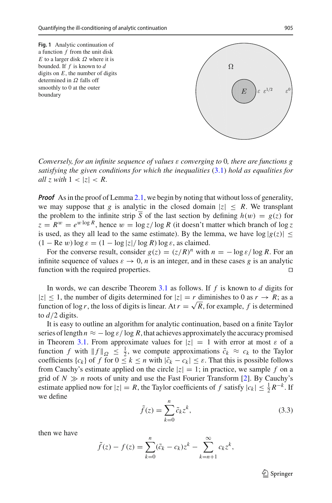

<span id="page-4-0"></span>*Conversely, for an infinite sequence of values* ε *converging to* 0*, there are functions g satisfying the given conditions for which the inequalities* [\(3.1\)](#page-3-5) *hold as equalities for all*  $z$  *with*  $1 < |z| < R$ .

*Proof* As in the proof of Lemma [2.1,](#page-3-3) we begin by noting that without loss of generality, we may suppose that *g* is analytic in the closed domain  $|z| \leq R$ . We transplant the problem to the infinite strip  $\overline{S}$  of the last section by defining  $h(w) = g(z)$  for  $z = R^w = e^{w \log R}$ , hence  $w = \log z / \log R$  (it doesn't matter which branch of  $\log z$ is used, as they all lead to the same estimate). By the lemma, we have  $log |g(z)| \le$  $(1 - \text{Re } w) \log \varepsilon = (1 - \log |z| / \log R) \log \varepsilon$ , as claimed.

For the converse result, consider  $g(z) = (z/R)^n$  with  $n = -\log \varepsilon / \log R$ . For an infinite sequence of values  $\varepsilon \to 0$ , *n* is an integer, and in these cases *g* is an analytic function with the required properties function with the required properties. 

In words, we can describe Theorem [3.1](#page-3-2) as follows. If *f* is known to *d* digits for  $|z| \leq 1$ , the number of digits determined for  $|z| = r$  diminishes to 0 as  $r \to R$ ; as a function of log *r*, the loss of digits is linear. At  $r = \sqrt{R}$ , for example, *f* is determined to  $d/2$  digits.

It is easy to outline an algorithm for analytic continuation, based on a finite Taylor series of length  $n \approx -\log \varepsilon / \log R$ , that achieves approximately the accuracy promised in Theorem [3.1.](#page-3-2) From approximate values for  $|z| = 1$  with error at most  $\varepsilon$  of a function *f* with  $||f||_{\Omega} \le \frac{1}{2}$ , we compute approximations  $\tilde{c}_k \approx c_k$  to the Taylor coefficients  $\{c_k\}$  of f for  $0 \le k \le n$  with  $|\tilde{c}_k - c_k| \le \varepsilon$ . That this is possible follows from Cauchy's estimate applied on the circle  $|z| = 1$ ; in practice, we sample f on a grid of  $N \gg n$  roots of unity and use the Fast Fourier Transform [\[2](#page-13-11)]. By Cauchy's estimate applied now for  $|z| = R$ , the Taylor coefficients of *f* satisfy  $|c_k| \leq \frac{1}{2}R^{-k}$ . If we define

<span id="page-4-1"></span>
$$
\tilde{f}(z) = \sum_{k=0}^{n} \tilde{c}_k z^k,
$$
\n(3.3)

then we have

$$
\tilde{f}(z) - f(z) = \sum_{k=0}^{n} (\tilde{c}_k - c_k) z^k - \sum_{k=n+1}^{\infty} c_k z^k,
$$

 $\mathcal{L}$  Springer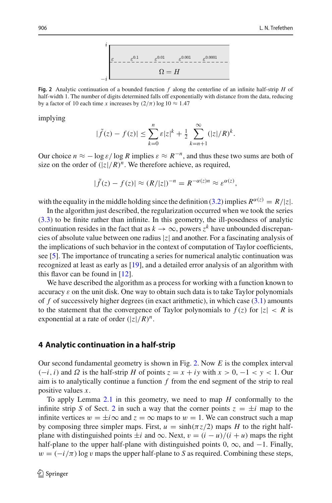$$
\varepsilon_{---} \varepsilon_{---}^{\varepsilon_{0.1}} - \varepsilon_{---}^{\varepsilon_{0.01}} - \varepsilon_{---}^{\varepsilon_{0.001}} - \varepsilon_{---}^{\varepsilon_{0.001}} - \varepsilon_{---}^{\varepsilon_{0.0001}} - \varepsilon_{---}^{\varepsilon_{---}} - \varepsilon_{---}^{\varepsilon_{---}} - \varepsilon_{---}^{\varepsilon_{---}} - \varepsilon_{---}^{\varepsilon_{---}} - \varepsilon_{---}^{\varepsilon_{---}} - \varepsilon_{---}^{\varepsilon_{---}} - \varepsilon_{---}^{\varepsilon_{---}} - \varepsilon_{---}^{\varepsilon_{---}} - \varepsilon_{---}^{\varepsilon_{---}} - \varepsilon_{---}^{\varepsilon_{---}} - \varepsilon_{---}^{\varepsilon_{---}} - \varepsilon_{---}^{\varepsilon_{---}} - \varepsilon_{---}^{\varepsilon_{---}} - \varepsilon_{---}^{\varepsilon_{---}} - \varepsilon_{---}^{\varepsilon_{---}} - \varepsilon_{---}^{\varepsilon_{---}} - \varepsilon_{---}^{\varepsilon_{---}} - \varepsilon_{---}^{\varepsilon_{---}} - \varepsilon_{---}^{\varepsilon_{---}} - \varepsilon_{---}^{\varepsilon_{---}} - \varepsilon_{---}^{\varepsilon_{---}} - \varepsilon_{---}^{\varepsilon_{---}} - \varepsilon_{---}^{\varepsilon_{---}} - \varepsilon_{---}^{\varepsilon_{---}} - \varepsilon_{---}^{\varepsilon_{---}} - \varepsilon_{---}^{\varepsilon_{---}} - \varepsilon_{---}^{\varepsilon_{---}} - \varepsilon_{---}^{\varepsilon_{---}} - \varepsilon_{---}^{\varepsilon_{---}} - \varepsilon_{---}^{\varepsilon_{---}} - \varepsilon_{---}^{\varepsilon_{---}} - \varepsilon_{---}^{\varepsilon_{---}} - \varepsilon_{---}^{\varepsilon_{---}} - \varepsilon_{---}^{\varepsilon_{---}} - \varepsilon_{---}^{\varepsilon_{---}} - \varepsilon_{---}^{\varepsilon_{---}} - \varepsilon_{---}^{\varepsilon_{---}} - \varepsilon_{---}^{\varepsilon_{---}} - \varepsilon_{---}^{\varepsilon_{---}} - \varepsilon_{---}^{\varepsilon_{---}} - \varepsilon_{---}^{\varepsilon_{---}}
$$

<span id="page-5-1"></span>**Fig. 2** Analytic continuation of a bounded function *f* along the centerline of an infinite half-strip *H* of half-width 1. The number of digits determined falls off exponentially with distance from the data, reducing by a factor of 10 each time *x* increases by  $(2/\pi)$  log  $10 \approx 1.47$ 

implying

$$
|\tilde{f}(z) - f(z)| \leq \sum_{k=0}^{n} \varepsilon |z|^k + \frac{1}{2} \sum_{k=n+1}^{\infty} (|z|/R)^k.
$$

Our choice  $n \approx -\log \varepsilon / \log R$  implies  $\varepsilon \approx R^{-n}$ , and thus these two sums are both of size on the order of  $(|z|/R)^n$ . We therefore achieve, as required,

$$
|\tilde{f}(z) - f(z)| \approx (R/|z|)^{-n} = R^{-\alpha(z)n} \approx \varepsilon^{\alpha(z)},
$$

with the equality in the middle holding since the definition [\(3.2\)](#page-3-6) implies  $R^{\alpha(z)} = R/|z|$ .

In the algorithm just described, the regularization occurred when we took the series [\(3.3\)](#page-4-1) to be finite rather than infinite. In this geometry, the ill-posedness of analytic continuation resides in the fact that as  $k \to \infty$ , powers  $z^k$  have unbounded discrepancies of absolute value between one radius |*z*| and another. For a fascinating analysis of the implications of such behavior in the context of computation of Taylor coefficients, see [\[5\]](#page-13-12). The importance of truncating a series for numerical analytic continuation was recognized at least as early as [\[19](#page-13-13)], and a detailed error analysis of an algorithm with this flavor can be found in [\[12](#page-13-0)].

We have described the algorithm as a process for working with a function known to accuracy  $\varepsilon$  on the unit disk. One way to obtain such data is to take Taylor polynomials of *f* of successively higher degrees (in exact arithmetic), in which case [\(3.1\)](#page-3-5) amounts to the statement that the convergence of Taylor polynomials to  $f(z)$  for  $|z| < R$  is exponential at a rate of order  $(|z|/R)^n$ .

#### <span id="page-5-0"></span>**4 Analytic continuation in a half-strip**

Our second fundamental geometry is shown in Fig. [2.](#page-5-1) Now *E* is the complex interval  $(-i, i)$  and  $\Omega$  is the half-strip *H* of points  $z = x + iy$  with  $x > 0, -1 < y < 1$ . Our aim is to analytically continue a function *f* from the end segment of the strip to real positive values *x*.

To apply Lemma [2.1](#page-3-3) in this geometry, we need to map *H* conformally to the infinite strip *S* of Sect. [2](#page-3-0) in such a way that the corner points  $z = \pm i$  map to the infinite vertices  $w = \pm i \infty$  and  $z = \infty$  maps to  $w = 1$ . We can construct such a map by composing three simpler maps. First,  $u = \sinh(\pi z/2)$  maps *H* to the right halfplane with distinguished points  $\pm i$  and  $\infty$ . Next,  $v = (i - u)/(i + u)$  maps the right half-plane to the upper half-plane with distinguished points 0,  $\infty$ , and  $-1$ . Finally,  $w = (-i/\pi) \log v$  maps the upper half-plane to *S* as required. Combining these steps,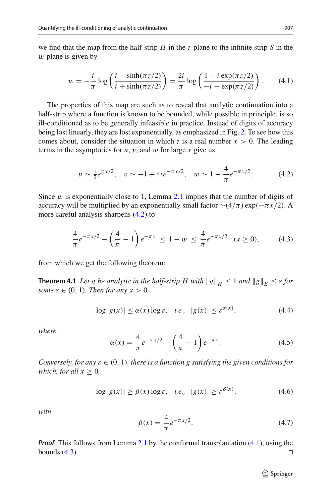we find that the map from the half-strip *H* in the *z*-plane to the infinite strip *S* in the  $w$ -plane is given by

<span id="page-6-2"></span>
$$
w = -\frac{i}{\pi} \log \left( \frac{i - \sinh(\pi z/2)}{i + \sinh(\pi z/2)} \right) = \frac{2i}{\pi} \log \left( \frac{1 - i \exp(\pi z/2)}{-i + \exp(\pi z/2)} \right). \tag{4.1}
$$

The properties of this map are such as to reveal that analytic continuation into a half-strip where a function is known to be bounded, while possible in principle, is so ill-conditioned as to be generally infeasible in practice. Instead of digits of accuracy being lost linearly, they are lost exponentially, as emphasized in Fig. [2.](#page-5-1) To see how this comes about, consider the situation in which *z* is a real number  $x > 0$ . The leading terms in the asymptotics for  $u$ ,  $v$ , and  $w$  for large  $x$  give us

<span id="page-6-1"></span>
$$
u \sim \frac{1}{2}e^{\pi x/2}, \quad v \sim -1 + 4ie^{-\pi x/2}, \quad w \sim 1 - \frac{4}{\pi}e^{-\pi x/2}.
$$
 (4.2)

Since  $w$  is exponentially close to 1, Lemma [2.1](#page-3-3) implies that the number of digits of accuracy will be multiplied by an exponentially small factor  $\sim$ (4/π) exp( $-\pi x/2$ ). A more careful analysis sharpens [\(4.2\)](#page-6-1) to

<span id="page-6-3"></span>
$$
\frac{4}{\pi}e^{-\pi x/2} - \left(\frac{4}{\pi} - 1\right)e^{-\pi x} \le 1 - w \le \frac{4}{\pi}e^{-\pi x/2} \quad (x \ge 0), \tag{4.3}
$$

<span id="page-6-0"></span>from which we get the following theorem:

**Theorem 4.1** *Let g be analytic in the half-strip H with*  $\|g\|_H \leq 1$  *and*  $\|g\|_F \leq \varepsilon$  *for some*  $\varepsilon \in (0, 1)$ *. Then for any*  $x > 0$ *,* 

$$
\log|g(x)| \le \alpha(x) \log \varepsilon, \quad i.e., \quad |g(x)| \le \varepsilon^{\alpha(x)}, \tag{4.4}
$$

*where*

$$
\alpha(x) = \frac{4}{\pi} e^{-\pi x/2} - \left(\frac{4}{\pi} - 1\right) e^{-\pi x}.
$$
 (4.5)

*Conversely, for any*  $\varepsilon \in (0, 1)$ *, there is a function g satisfying the given conditions for which, for all*  $x \geq 0$ *,* 

$$
\log|g(x)| \ge \beta(x) \log \varepsilon, \quad i.e., \quad |g(x)| \ge \varepsilon^{\beta(x)}, \tag{4.6}
$$

*with*

$$
\beta(x) = \frac{4}{\pi} e^{-\pi x/2}.
$$
\n(4.7)

*Proof* This follows from Lemma [2.1](#page-3-3) by the conformal transplantation [\(4.1\)](#page-6-2), using the bounds  $(4.3)$ .

 $\bigcirc$  Springer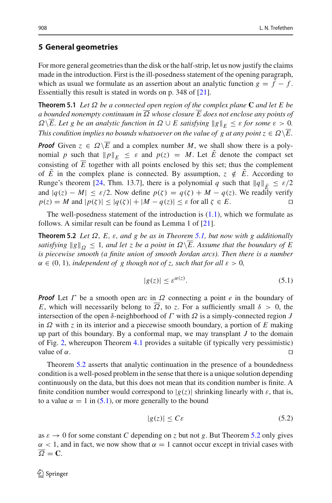#### <span id="page-7-2"></span>**5 General geometries**

For more general geometries than the disk or the half-strip, let us now justify the claims made in the introduction. First is the ill-posedness statement of the opening paragraph, which as usual we formulate as an assertion about an analytic function  $g = f - f$ . Essentially this result is stated in words on p. 348 of [\[21](#page-14-1)].

<span id="page-7-0"></span>**Theorem 5.1** *Let* Ω *be a connected open region of the complex plane* **C** *and let E be a bounded nonempty continuum in*  $\overline{\Omega}$  *whose closure*  $\overline{E}$  *does not enclose any points of*  $\Omega\setminus\overline{E}$ . Let g be an analytic function in  $\Omega\cup E$  satisfying  $\|g\|_F\leq \varepsilon$  for some  $\varepsilon > 0$ . *This condition implies no bounds whatsoever on the value of g at any point*  $z \in \Omega \backslash \overline{E}$ .

*Proof* Given  $z \in \Omega \setminus \overline{E}$  and a complex number *M*, we shall show there is a polynomial *p* such that  $||p||_F \leq \varepsilon$  and  $p(z) = M$ . Let  $\tilde{E}$  denote the compact set consisting of  $\overline{E}$  together with all points enclosed by this set; thus the complement of  $\tilde{E}$  in the complex plane is connected. By assumption,  $z \notin \tilde{E}$ . According to Runge's theorem [\[24,](#page-14-7) Thm. 13.7], there is a polynomial *q* such that  $||q||_{\tilde{E}} \le \varepsilon/2$ and  $|q(z) - M| \leq \varepsilon/2$ . Now define  $p(\zeta) = q(\zeta) + M - q(z)$ . We readily verify  $p(z) = M$  and  $|p(\zeta)| \le |q(\zeta)| + |M - q(z)| \le \varepsilon$  for all  $\zeta \in E$ .

<span id="page-7-1"></span>The well-posedness statement of the introduction is  $(1.1)$ , which we formulate as follows. A similar result can be found as Lemma 1 of [\[21](#page-14-1)].

**Theorem 5.2** *Let* Ω*, E,* ε*, and g be as in Theorem [5.1,](#page-7-0) but now with g additionally satisfying*  $\|g\|_Q \leq 1$ , and let z be a point in  $\Omega \setminus \overline{E}$ . Assume that the boundary of E *is piecewise smooth (a finite union of smooth Jordan arcs). Then there is a number*  $\alpha \in (0, 1)$ *, independent of g though not of z, such that for all*  $\varepsilon > 0$ *,* 

<span id="page-7-3"></span>
$$
|g(z)| \le \varepsilon^{\alpha(z)}.\tag{5.1}
$$

*Proof* Let Γ be a smooth open arc in Ω connecting a point *e* in the boundary of *E*, which will necessarily belong to  $\Omega$ , to *z*. For a sufficiently small  $\delta > 0$ , the intersection of the open  $\delta$ -neighborhood of  $\Gamma$  with  $\Omega$  is a simply-connected region  $J$ in Ω with *z* in its interior and a piecewise smooth boundary, a portion of *E* making up part of this boundary. By a conformal map, we may transplant *J* to the domain of Fig. [2,](#page-5-1) whereupon Theorem [4.1](#page-6-0) provides a suitable (if typically very pessimistic) value of  $\alpha$ .

Theorem [5.2](#page-7-1) asserts that analytic continuation in the presence of a boundedness condition is a well-posed problem in the sense that there is a unique solution depending continuously on the data, but this does not mean that its condition number is finite. A finite condition number would correspond to  $|g(z)|$  shrinking linearly with  $\varepsilon$ , that is, to a value  $\alpha = 1$  in [\(5.1\)](#page-7-3), or more generally to the bound

<span id="page-7-4"></span>
$$
|g(z)| \le C\varepsilon \tag{5.2}
$$

<span id="page-7-5"></span>as  $\varepsilon \to 0$  for some constant C depending on *z* but not *g*. But Theorem [5.2](#page-7-1) only gives  $\alpha$  < 1, and in fact, we now show that  $\alpha = 1$  cannot occur except in trivial cases with  $\overline{\Omega} = \mathbf{C}$ .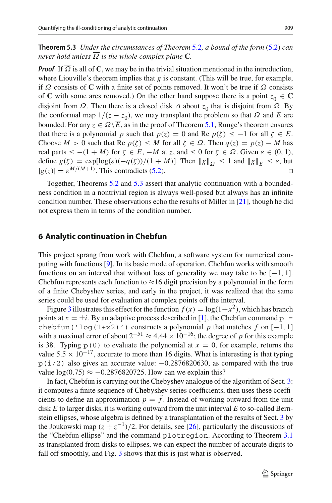**Theorem 5.3** *Under the circumstances of Theorem* [5.2](#page-7-1)*, a bound of the form* [\(5.2\)](#page-7-4) *can never hold unless*  $\overline{\Omega}$  *is the whole complex plane* **C***.* 

*Proof* If  $\Omega$  is all of **C**, we may be in the trivial situation mentioned in the introduction, where Liouville's theorem implies that *g* is constant. (This will be true, for example, if  $\Omega$  consists of **C** with a finite set of points removed. It won't be true if  $\Omega$  consists of **C** with some arcs removed.) On the other hand suppose there is a point  $z_0 \in \mathbb{C}$ disjoint from  $\overline{\Omega}$ . Then there is a closed disk  $\Delta$  about  $z_0$  that is disjoint from  $\overline{\Omega}$ . By the conformal map  $1/(z - z_0)$ , we may transplant the problem so that  $\Omega$  and E are bounded. For any  $z \in \Omega \backslash \overline{E}$ , as in the proof of Theorem [5.1,](#page-7-0) Runge's theorem ensures that there is a polynomial *p* such that  $p(z) = 0$  and Re  $p(\zeta) \le -1$  for all  $\zeta \in E$ . Choose  $M > 0$  such that Re  $p(\zeta) \leq M$  for all  $\zeta \in \Omega$ . Then  $q(z) = p(z) - M$  has real parts  $\leq -(1 + M)$  for  $\zeta \in E$ ,  $-M$  at *z*, and  $\leq 0$  for  $\zeta \in \Omega$ . Given  $\varepsilon \in (0, 1)$ , define  $g(\zeta) = \exp[\log(\varepsilon)(-q(\zeta))/(1+M)]$ . Then  $||g||_{Q} \le 1$  and  $||g||_{E} \le \varepsilon$ , but  $|g(z)| = \varepsilon^{M/(M+1)}$ . This contradicts [\(5.2\)](#page-7-4).

Together, Theorems [5.2](#page-7-1) and [5.3](#page-7-5) assert that analytic continuation with a boundedness condition in a nontrivial region is always well-posed but always has an infinite condition number. These observations echo the results of Miller in [\[21](#page-14-1)], though he did not express them in terms of the condition number.

#### <span id="page-8-0"></span>**6 Analytic continuation in Chebfun**

This project sprang from work with Chebfun, a software system for numerical computing with functions [\[9\]](#page-13-3). In its basic mode of operation, Chebfun works with smooth functions on an interval that without loss of generality we may take to be  $[-1, 1]$ . Chebfun represents each function to  $\approx$  16 digit precision by a polynomial in the form of a finite Chebyshev series, and early in the project, it was realized that the same series could be used for evaluation at complex points off the interval.

Figure [3](#page-9-1) illustrates this effect for the function  $f(x) = \log(1+x^2)$ , which has branch points at  $x = \pm i$ . By an adaptive process described in [\[1\]](#page-13-14), the Chebfun command  $p =$ chebfun('log(1+x2)') constructs a polynomial *p* that matches *f* on  $[-1, 1]$ with a maximal error of about  $2^{-51} \approx 4.44 \times 10^{-16}$ ; the degree of *p* for this example is 38. Typing  $p(0)$  to evaluate the polynomial at  $x = 0$ , for example, returns the value  $5.5 \times 10^{-17}$ , accurate to more than 16 digits. What is interesting is that typing  $p(i/2)$  also gives an accurate value:  $-0.2876820630$ , as compared with the true value  $log(0.75) \approx -0.2876820725$ . How can we explain this?

In fact, Chebfun is carrying out the Chebyshev analogue of the algorithm of Sect. [3:](#page-3-1) it computes a finite sequence of Chebyshev series coefficients, then uses these coefficients to define an approximation  $p = \tilde{f}$ . Instead of working outward from the unit disk *E* to larger disks, it is working outward from the unit interval *E* to so-called Bernstein ellipses, whose algebra is defined by a transplantation of the results of Sect. [3](#page-3-1) by the Joukowski map  $(z + z^{-1})/2$ . For details, see [\[26](#page-14-2)], particularly the discussions of the "Chebfun ellipse" and the command plotregion. According to Theorem [3.1](#page-3-2) as transplanted from disks to ellipses, we can expect the number of accurate digits to fall off smoothly, and Fig. [3](#page-9-1) shows that this is just what is observed.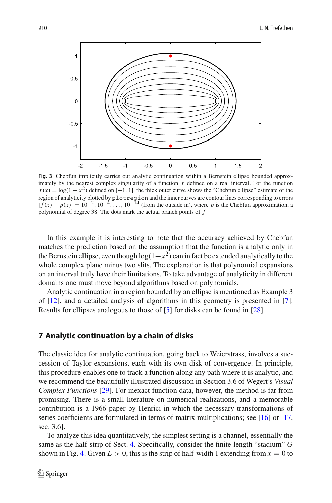

<span id="page-9-1"></span>**Fig. 3** Chebfun implicitly carries out analytic continuation within a Bernstein ellipse bounded approximately by the nearest complex singularity of a function *f* defined on a real interval. For the function  $f(x) = \log(1 + x^2)$  defined on [−1, 1], the thick outer curve shows the "Chebfun ellipse" estimate of the region of analyticity plotted by plottegion and the inner curves are contour lines corresponding to errors  $|f(x) - p(x)| = 10^{-2}$ ,  $10^{-4}$ , ...,  $10^{-14}$  (from the outside in), where p is the Chebfun approximation, a polynomial of degree 38. The dots mark the actual branch points of *f*

In this example it is interesting to note that the accuracy achieved by Chebfun matches the prediction based on the assumption that the function is analytic only in the Bernstein ellipse, even though  $\log(1+x^2)$  can in fact be extended analytically to the whole complex plane minus two slits. The explanation is that polynomial expansions on an interval truly have their limitations. To take advantage of analyticity in different domains one must move beyond algorithms based on polynomials.

Analytic continuation in a region bounded by an ellipse is mentioned as Example 3 of [\[12\]](#page-13-0), and a detailed analysis of algorithms in this geometry is presented in [\[7](#page-13-5)]. Results for ellipses analogous to those of [\[5\]](#page-13-12) for disks can be found in [\[28](#page-14-8)].

#### <span id="page-9-0"></span>**7 Analytic continuation by a chain of disks**

The classic idea for analytic continuation, going back to Weierstrass, involves a succession of Taylor expansions, each with its own disk of convergence. In principle, this procedure enables one to track a function along any path where it is analytic, and we recommend the beautifully illustrated discussion in Section 3.6 of Wegert's *Visual Complex Functions* [\[29\]](#page-14-9). For inexact function data, however, the method is far from promising. There is a small literature on numerical realizations, and a memorable contribution is a 1966 paper by Henrici in which the necessary transformations of series coefficients are formulated in terms of matrix multiplications; see [\[16](#page-13-15)] or [\[17,](#page-13-8) sec. 3.6].

To analyze this idea quantitatively, the simplest setting is a channel, essentially the same as the half-strip of Sect. [4.](#page-5-0) Specifically, consider the finite-length "stadium" *G* shown in Fig. [4.](#page-10-0) Given  $L > 0$ , this is the strip of half-width 1 extending from  $x = 0$  to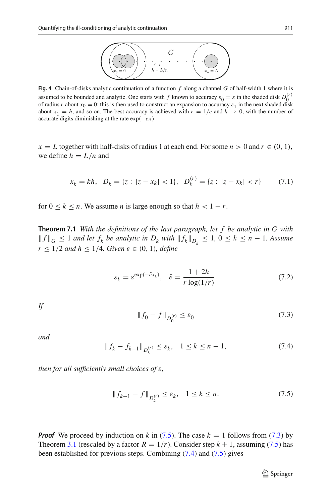

<span id="page-10-0"></span>**Fig. 4** Chain-of-disks analytic continuation of a function *f* along a channel *G* of half-width 1 where it is assumed to be bounded and analytic. One starts with *f* known to accuracy  $\varepsilon_0 = \varepsilon$  in the shaded disk  $D_0^{(r)}$ of radius *r* about  $x_0 = 0$ ; this is then used to construct an expansion to accuracy  $\varepsilon_1$  in the next shaded disk about  $x_1 = h$ , and so on. The best accuracy is achieved with  $r = 1/e$  and  $h \rightarrow 0$ , with the number of accurate digits diminishing at the rate exp(−*ex*)

 $x = L$  together with half-disks of radius 1 at each end. For some  $n > 0$  and  $r \in (0, 1)$ , we define  $h = L/n$  and

$$
x_k = kh, \ D_k = \{z : |z - x_k| < 1\}, \ D_k^{(r)} = \{z : |z - x_k| < r\} \tag{7.1}
$$

<span id="page-10-5"></span>for  $0 \leq k \leq n$ . We assume *n* is large enough so that  $h < 1 - r$ .

**Theorem 7.1** *With the definitions of the last paragraph, let f be analytic in G with*  $||f||_G$  ≤ 1 *and let f<sub>k</sub> be analytic in*  $D_k$  *with*  $||f_k||_{D_k}$  ≤ 1, 0 ≤ k ≤ n − 1*. Assume*  $r < 1/2$  *and*  $h < 1/4$ *. Given*  $\varepsilon \in (0, 1)$ *, define* 

<span id="page-10-4"></span>
$$
\varepsilon_k = \varepsilon^{\exp(-\tilde{e}x_k)}, \quad \tilde{e} = \frac{1+2h}{r\log(1/r)}.\tag{7.2}
$$

*If*

<span id="page-10-2"></span>
$$
||f_0 - f||_{D_0^{(r)}} \le \varepsilon_0
$$
\n(7.3)

*and*

<span id="page-10-3"></span>
$$
||f_k - f_{k-1}||_{D_k^{(r)}} \le \varepsilon_k, \quad 1 \le k \le n-1,
$$
\n(7.4)

*then for all sufficiently small choices of* ε*,*

<span id="page-10-1"></span>
$$
||f_{k-1} - f||_{D_k^{(r)}} \le \varepsilon_k, \quad 1 \le k \le n. \tag{7.5}
$$

*Proof* We proceed by induction on *k* in [\(7.5\)](#page-10-1). The case  $k = 1$  follows from [\(7.3\)](#page-10-2) by Theorem [3.1](#page-3-2) (rescaled by a factor  $R = 1/r$ ). Consider step  $k + 1$ , assuming [\(7.5\)](#page-10-1) has been established for previous steps. Combining [\(7.4\)](#page-10-3) and [\(7.5\)](#page-10-1) gives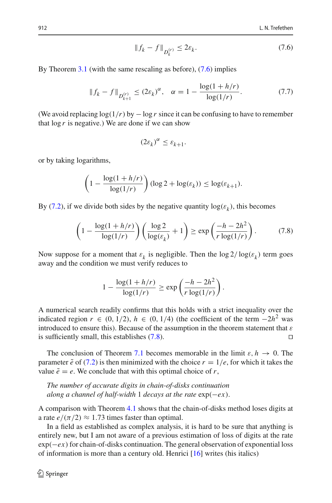<span id="page-11-0"></span>
$$
||f_k - f||_{D_k^{(r)}} \le 2\varepsilon_k. \tag{7.6}
$$

By Theorem [3.1](#page-3-2) (with the same rescaling as before),  $(7.6)$  implies

$$
\|f_k - f\|_{D_{k+1}^{(r)}} \le (2\varepsilon_k)^{\alpha}, \quad \alpha = 1 - \frac{\log(1 + h/r)}{\log(1/r)}.
$$
 (7.7)

(We avoid replacing  $\log(1/r)$  by  $-\log r$  since it can be confusing to have to remember that  $\log r$  is negative.) We are done if we can show

$$
(2\varepsilon_k)^{\alpha} \le \varepsilon_{k+1}.
$$

or by taking logarithms,

$$
\left(1 - \frac{\log(1 + h/r)}{\log(1/r)}\right) (\log 2 + \log(\varepsilon_k)) \le \log(\varepsilon_{k+1}).
$$

By [\(7.2\)](#page-10-4), if we divide both sides by the negative quantity  $log(\varepsilon_k)$ , this becomes

<span id="page-11-1"></span>
$$
\left(1 - \frac{\log(1 + h/r)}{\log(1/r)}\right) \left(\frac{\log 2}{\log(\varepsilon_k)} + 1\right) \ge \exp\left(\frac{-h - 2h^2}{r\log(1/r)}\right). \tag{7.8}
$$

Now suppose for a moment that  $\varepsilon_k$  is negligible. Then the  $\log 2/\log(\varepsilon_k)$  term goes away and the condition we must verify reduces to

$$
1 - \frac{\log(1 + h/r)}{\log(1/r)} \ge \exp\left(\frac{-h - 2h^2}{r\log(1/r)}\right).
$$

A numerical search readily confirms that this holds with a strict inequality over the indicated region  $r \in (0, 1/2)$ ,  $h \in (0, 1/4)$  (the coefficient of the term  $-2h^2$  was introduced to ensure this). Because of the assumption in the theorem statement that  $\varepsilon$ is sufficiently small, this establishes  $(7.8)$ .

The conclusion of Theorem [7.1](#page-10-5) becomes memorable in the limit  $\varepsilon$ ,  $h \to 0$ . The parameter  $\tilde{e}$  of [\(7.2\)](#page-10-4) is then minimized with the choice  $r = 1/e$ , for which it takes the value  $\tilde{e} = e$ . We conclude that with this optimal choice of *r*,

*The number of accurate digits in chain-of-disks continuation along a channel of half-width* 1 *decays at the rate* exp(−*ex*).

A comparison with Theorem [4.1](#page-6-0) shows that the chain-of-disks method loses digits at a rate  $e/(\pi/2) \approx 1.73$  times faster than optimal.

In a field as established as complex analysis, it is hard to be sure that anything is entirely new, but I am not aware of a previous estimation of loss of digits at the rate exp( $-ex$ ) for chain-of-disks continuation. The general observation of exponential loss of information is more than a century old. Henrici [\[16](#page-13-15)] writes (his italics)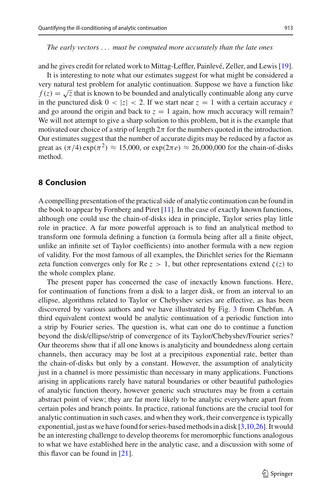#### *The early vectors* ... *must be computed more accurately than the late ones*

and he gives credit for related work to Mittag-Leffler, Painlevé, Zeller, and Lewis [\[19](#page-13-13)].

It is interesting to note what our estimates suggest for what might be considered a very natural test problem for analytic continuation. Suppose we have a function like  $f(z) = \sqrt{z}$  that is known to be bounded and analytically continuable along any curve in the punctured disk  $0 < |z| < 2$ . If we start near  $z = 1$  with a certain accuracy  $\varepsilon$ and go around the origin and back to  $z = 1$  again, how much accuracy will remain? We will not attempt to give a sharp solution to this problem, but it is the example that motivated our choice of a strip of length  $2\pi$  for the numbers quoted in the introduction. Our estimates suggest that the number of accurate digits may be reduced by a factor as great as  $(\pi/4) \exp(\pi^2) \approx 15,000$ , or  $\exp(2\pi e) \approx 26,000,000$  for the chain-of-disks method.

#### **8 Conclusion**

A compelling presentation of the practical side of analytic continuation can be found in the book to appear by Fornberg and Piret [\[11\]](#page-13-16). In the case of exactly known functions, although one could use the chain-of-disks idea in principle, Taylor series play little role in practice. A far more powerful approach is to find an analytical method to transform one formula defining a function (a formula being after all a finite object, unlike an infinite set of Taylor coefficients) into another formula with a new region of validity. For the most famous of all examples, the Dirichlet series for the Riemann zeta function converges only for Re  $z > 1$ , but other representations extend  $\zeta(z)$  to the whole complex plane.

The present paper has concerned the case of inexactly known functions. Here, for continuation of functions from a disk to a larger disk, or from an interval to an ellipse, algorithms related to Taylor or Chebyshev series are effective, as has been discovered by various authors and we have illustrated by Fig. [3](#page-9-1) from Chebfun. A third equivalent context would be analytic continuation of a periodic function into a strip by Fourier series. The question is, what can one do to continue a function beyond the disk/ellipse/strip of convergence of its Taylor/Chebyshev/Fourier series? Our theorems show that if all one knows is analyticity and boundedness along certain channels, then accuracy may be lost at a precipitous exponential rate, better than the chain-of-disks but only by a constant. However, the assumption of analyticity just in a channel is more pessimistic than necessary in many applications. Functions arising in applications rarely have natural boundaries or other beautiful pathologies of analytic function theory, however generic such structures may be from a certain abstract point of view; they are far more likely to be analytic everywhere apart from certain poles and branch points. In practice, rational functions are the crucial tool for analytic continuation in such cases, and when they work, their convergence is typically exponential, just as we have found for series-based methods in a disk [\[3](#page-13-9)[,10](#page-13-17)[,26\]](#page-14-2). It would be an interesting challenge to develop theorems for meromorphic functions analogous to what we have established here in the analytic case, and a discussion with some of this flavor can be found in [\[21](#page-14-1)].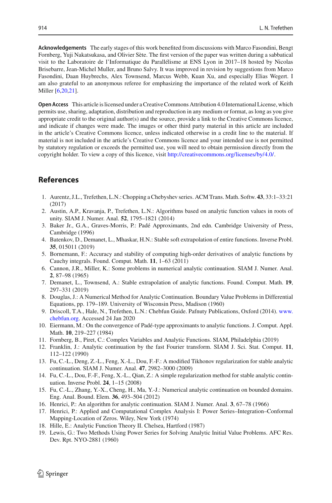**Acknowledgements** The early stages of this work benefited from discussions with Marco Fasondini, Bengt Fornberg, Yuji Nakatsukasa, and Olivier Sète. The first version of the paper was written during a sabbatical visit to the Laboratoire de l'Informatique du Parallélisme at ENS Lyon in 2017–18 hosted by Nicolas Brisebarre, Jean-Michel Muller, and Bruno Salvy. It was improved in revision by suggestions from Marco Fasondini, Daan Huybrechs, Alex Townsend, Marcus Webb, Kuan Xu, and especially Elias Wegert. I am also grateful to an anonymous referee for emphasizing the importance of the related work of Keith Miller [\[6](#page-13-1)[,20](#page-14-0)[,21](#page-14-1)].

**Open Access** This article is licensed under a Creative Commons Attribution 4.0 International License, which permits use, sharing, adaptation, distribution and reproduction in any medium or format, as long as you give appropriate credit to the original author(s) and the source, provide a link to the Creative Commons licence, and indicate if changes were made. The images or other third party material in this article are included in the article's Creative Commons licence, unless indicated otherwise in a credit line to the material. If material is not included in the article's Creative Commons licence and your intended use is not permitted by statutory regulation or exceeds the permitted use, you will need to obtain permission directly from the copyright holder. To view a copy of this licence, visit [http://creativecommons.org/licenses/by/4.0/.](http://creativecommons.org/licenses/by/4.0/)

### **References**

- <span id="page-13-14"></span>1. Aurentz, J.L., Trefethen, L.N.: Chopping a Chebyshev series. ACM Trans. Math. Softw. **43**, 33:1–33:21 (2017)
- <span id="page-13-11"></span>2. Austin, A.P., Kravanja, P., Trefethen, L.N.: Algorithms based on analytic function values in roots of unity. SIAM J. Numer. Anal. **52**, 1795–1821 (2014)
- <span id="page-13-9"></span>3. Baker Jr., G.A., Graves-Morris, P.: Padé Approximants, 2nd edn. Cambridge University of Press, Cambridge (1996)
- <span id="page-13-4"></span>4. Batenkov, D., Demanet, L., Mhaskar, H.N.: Stable soft extrapolation of entire functions. Inverse Probl. **35**, 015011 (2019)
- <span id="page-13-12"></span>5. Bornemann, F.: Accuracy and stability of computing high-order derivatives of analytic functions by Cauchy integrals. Found. Comput. Math. **11**, 1–63 (2011)
- <span id="page-13-1"></span>6. Cannon, J.R., Miller, K.: Some problems in numerical analytic continuation. SIAM J. Numer. Anal. **2**, 87–98 (1965)
- <span id="page-13-5"></span>7. Demanet, L., Townsend, A.: Stable extrapolation of analytic functions. Found. Comput. Math. **19**, 297–331 (2019)
- <span id="page-13-6"></span>8. Douglas, J.: A Numerical Method for Analytic Continuation. Boundary Value Problems in Differential Equations, pp. 179–189. University of Wisconsin Press, Madison (1960)
- <span id="page-13-3"></span>9. Driscoll, T.A., Hale, N., Trefethen, L.N.: Chebfun Guide. Pafnuty Publications, Oxford (2014). [www.](www.chebfun.org) [chebfun.org.](www.chebfun.org) Accessed 24 Jan 2020
- <span id="page-13-17"></span>10. Eiermann, M.: On the convergence of Padé-type approximants to analytic functions. J. Comput. Appl. Math. **10**, 219–227 (1984)
- <span id="page-13-16"></span>11. Fornberg, B., Piret, C.: Complex Variables and Analytic Functions. SIAM, Philadelphia (2019)
- <span id="page-13-0"></span>12. Franklin, J.: Analytic continuation by the fast Fourier transform. SIAM J. Sci. Stat. Comput. **11**, 112–122 (1990)
- <span id="page-13-7"></span>13. Fu, C.-L., Deng, Z.-L., Feng, X.-L., Dou, F.-F.: A modified Tikhonov regularization for stable analytic continuation. SIAM J. Numer. Anal. **47**, 2982–3000 (2009)
- <span id="page-13-10"></span>14. Fu, C.-L., Dou, F.-F., Feng, X.-L., Qian, Z.: A simple regularization method for stable analytic continuation. Inverse Probl. **24**, 1–15 (2008)
- 15. Fu, C.-L., Zhang, Y.-X., Cheng, H., Ma, Y.-J.: Numerical analytic continuation on bounded domains. Eng. Anal. Bound. Elem. **36**, 493–504 (2012)
- <span id="page-13-15"></span>16. Henrici, P.: An algorithm for analytic continuation. SIAM J. Numer. Anal. **3**, 67–78 (1966)
- <span id="page-13-8"></span>17. Henrici, P.: Applied and Computational Complex Analysis I: Power Series–Integration–Conformal Mapping-Location of Zeros. Wiley, New York (1974)
- <span id="page-13-2"></span>18. Hille, E.: Analytic Function Theory II. Chelsea, Hartford (1987)
- <span id="page-13-13"></span>19. Lewis, G.: Two Methods Using Power Series for Solving Analytic Initial Value Problems. AFC Res. Dev. Rpt. NYO-2881 (1960)